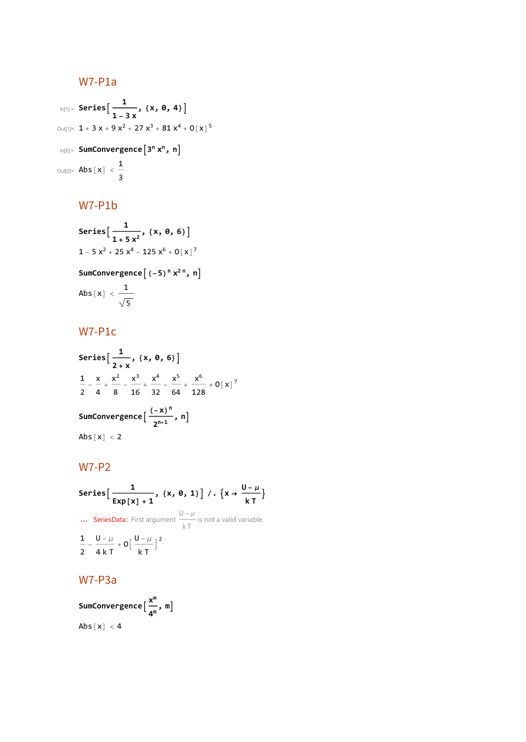# W7-P1a

$$
\begin{aligned}\n\text{In}[1]: &= \text{Series}\Big[\frac{1}{1-3 \, x}, \, \{x, \, \theta, \, 4\}\Big] \\
&\text{Out}[1] &= \, 1 + 3 \, x + 9 \, x^2 + 27 \, x^3 + 81 \, x^4 + 0 \, [\,x\,]^5 \\
&\text{In}[2]: &= \text{SumConvergence}\Big[3^n \, x^n, \, n\Big] \\
&\text{Out}[2] &= \text{Abs}\big[x\big] < \frac{1}{3}\n\end{aligned}
$$

# W7-P1b

Series 
$$
\left[\frac{1}{1+5x^2}, \{x, \theta, 6\}\right]
$$
  
\n $1-5x^2+25x^4-125x^6+0[x]^7$   
\nSumConvergence  $\left[\left(-5\right)^n x^{2n}, n\right]$   
\nAbs  $\left[x\right] < \frac{1}{\sqrt{5}}$ 

# W7-P1c

Series 
$$
\left[\frac{1}{2+x}, \{x, \theta, 6\}\right]
$$
  
\n $\frac{1}{2} - \frac{x}{4} + \frac{x^2}{8} - \frac{x^3}{16} + \frac{x^4}{32} - \frac{x^5}{64} + \frac{x^6}{128} + 0[x]^7$   
\nSumConvergence  $\left[\frac{(-x)^n}{2^{n+1}}, n\right]$   
\nAbs  $[x] < 2$ 

# W7-P2

**Series** 
$$
\left[ \frac{1}{\text{Exp}[x] + 1}, \{x, \theta, 1\} \right] / . \{x \to \frac{U - \mu}{kT} \}
$$
  
\n**ExerciseData:** First argument  $\frac{U - \mu}{kT}$  is not a valid variable.  
\n $\frac{1}{2} - \frac{U - \mu}{4kT} + O\left[ \frac{U - \mu}{kT} \right]^2$ 

# W7-P3a

**SumConvergence <sup>x</sup><sup>m</sup> 4m , m** Abs  $[x] < 4$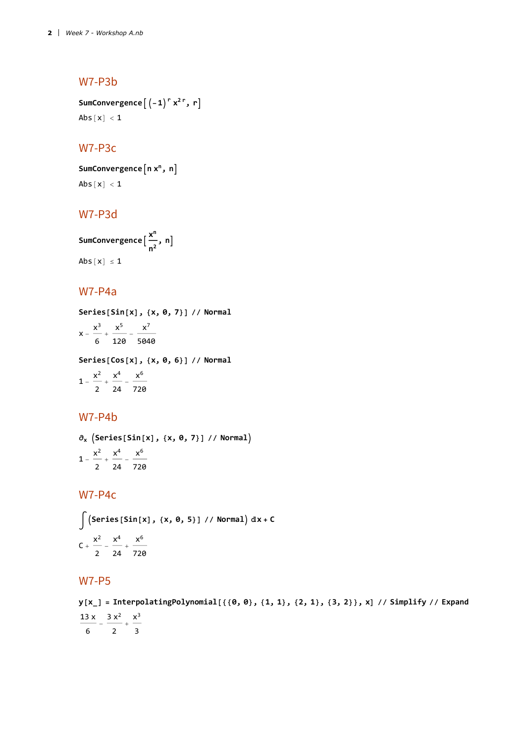## W7-P3b

**SumConvergence** $\left[\left(-1\right)^{r} x^{2r}, r\right]$ Abs $[x] < 1$ 

#### W7-P3c

SumConvergence<sup>[n x<sup>n</sup>, n]</sup> Abs $[x] < 1$ 

## W7-P3d

**SumConvergence <sup>x</sup><sup>n</sup> n2 , n** Abs $[x] \le 1$ 

### W7-P4a

**Series[Sin[x], {x, 0, 7}] // Normal**  $x - \frac{x^3}{6} + \frac{x^5}{120} - \frac{x^7}{5040}$ 

**Series[Cos[x], {x, 0, 6}] // Normal**

 $1 - \frac{x^2}{2} + \frac{x^4}{24} - \frac{x^6}{720}$ 

## W7-P4b

**∂<sup>x</sup> Series[Sin[x], {x, 0, 7}] // Normal**  $1 - \frac{x^2}{2} + \frac{x^4}{24} - \frac{x^6}{720}$ 

#### W7-P4c

$$
\int (\text{Series} [\text{Sin}[x], \{x, 0, 5\}] / / \text{Normal} ) \, dx + C
$$
  

$$
C + \frac{x^2}{2} - \frac{x^4}{24} + \frac{x^6}{720}
$$

## W7-P5

 $y[x_$  = InterpolatingPolynomial [{ $\{0, 0\}$ ,  $\{1, 1\}$ ,  $\{2, 1\}$ ,  $\{3, 2\}$ }, x] // Simplify // Expand  $\frac{13 \times 1}{6} - \frac{3 \times 2}{2} + \frac{\times^3}{3}$